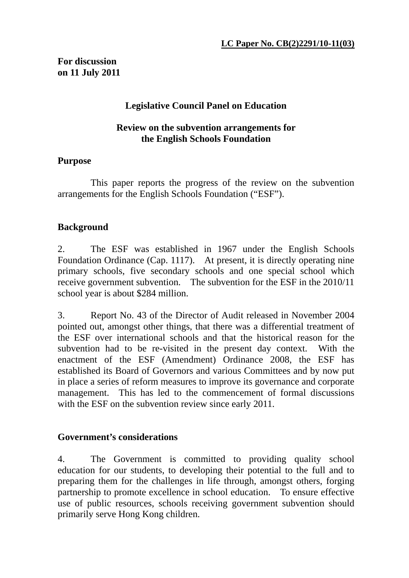# **For discussion on 11 July 2011**

## **Legislative Council Panel on Education**

#### **Review on the subvention arrangements for the English Schools Foundation**

### **Purpose**

 This paper reports the progress of the review on the subvention arrangements for the English Schools Foundation ("ESF").

# **Background**

2. The ESF was established in 1967 under the English Schools Foundation Ordinance (Cap. 1117). At present, it is directly operating nine primary schools, five secondary schools and one special school which receive government subvention. The subvention for the ESF in the 2010/11 school year is about \$284 million.

3. Report No. 43 of the Director of Audit released in November 2004 pointed out, amongst other things, that there was a differential treatment of the ESF over international schools and that the historical reason for the subvention had to be re-visited in the present day context. With the enactment of the ESF (Amendment) Ordinance 2008, the ESF has established its Board of Governors and various Committees and by now put in place a series of reform measures to improve its governance and corporate management. This has led to the commencement of formal discussions with the ESF on the subvention review since early 2011.

### **Government's considerations**

4. The Government is committed to providing quality school education for our students, to developing their potential to the full and to preparing them for the challenges in life through, amongst others, forging partnership to promote excellence in school education. To ensure effective use of public resources, schools receiving government subvention should primarily serve Hong Kong children.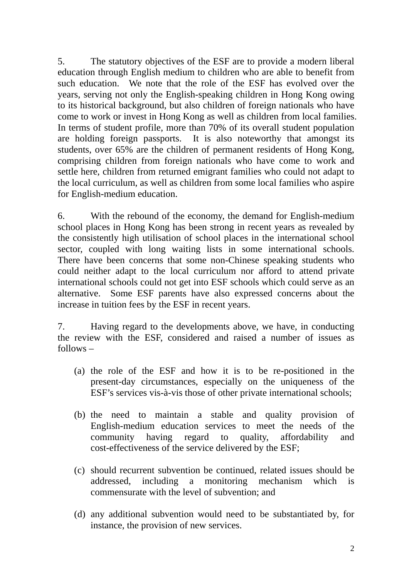5. The statutory objectives of the ESF are to provide a modern liberal education through English medium to children who are able to benefit from such education. We note that the role of the ESF has evolved over the years, serving not only the English-speaking children in Hong Kong owing to its historical background, but also children of foreign nationals who have come to work or invest in Hong Kong as well as children from local families. In terms of student profile, more than 70% of its overall student population are holding foreign passports. It is also noteworthy that amongst its students, over 65% are the children of permanent residents of Hong Kong, comprising children from foreign nationals who have come to work and settle here, children from returned emigrant families who could not adapt to the local curriculum, as well as children from some local families who aspire for English-medium education.

6. With the rebound of the economy, the demand for English-medium school places in Hong Kong has been strong in recent years as revealed by the consistently high utilisation of school places in the international school sector, coupled with long waiting lists in some international schools. There have been concerns that some non-Chinese speaking students who could neither adapt to the local curriculum nor afford to attend private international schools could not get into ESF schools which could serve as an alternative. Some ESF parents have also expressed concerns about the increase in tuition fees by the ESF in recent years.

7. Having regard to the developments above, we have, in conducting the review with the ESF, considered and raised a number of issues as follows –

- (a) the role of the ESF and how it is to be re-positioned in the present-day circumstances, especially on the uniqueness of the ESF's services vis-à-vis those of other private international schools;
- (b) the need to maintain a stable and quality provision of English-medium education services to meet the needs of the community having regard to quality, affordability and cost-effectiveness of the service delivered by the ESF;
- (c) should recurrent subvention be continued, related issues should be addressed, including a monitoring mechanism which is commensurate with the level of subvention; and
- (d) any additional subvention would need to be substantiated by, for instance, the provision of new services.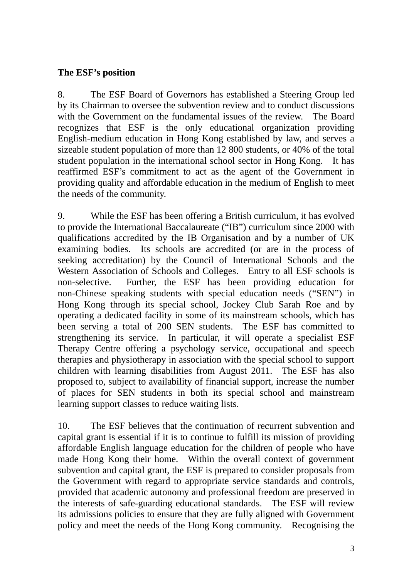## **The ESF's position**

8. The ESF Board of Governors has established a Steering Group led by its Chairman to oversee the subvention review and to conduct discussions with the Government on the fundamental issues of the review. The Board recognizes that ESF is the only educational organization providing English-medium education in Hong Kong established by law, and serves a sizeable student population of more than 12 800 students, or 40% of the total student population in the international school sector in Hong Kong. It has reaffirmed ESF's commitment to act as the agent of the Government in providing quality and affordable education in the medium of English to meet the needs of the community.

9. While the ESF has been offering a British curriculum, it has evolved to provide the International Baccalaureate ("IB") curriculum since 2000 with qualifications accredited by the IB Organisation and by a number of UK examining bodies. Its schools are accredited (or are in the process of seeking accreditation) by the Council of International Schools and the Western Association of Schools and Colleges. Entry to all ESF schools is non-selective. Further, the ESF has been providing education for non-Chinese speaking students with special education needs ("SEN") in Hong Kong through its special school, Jockey Club Sarah Roe and by operating a dedicated facility in some of its mainstream schools, which has been serving a total of 200 SEN students. The ESF has committed to strengthening its service. In particular, it will operate a specialist ESF Therapy Centre offering a psychology service, occupational and speech therapies and physiotherapy in association with the special school to support children with learning disabilities from August 2011. The ESF has also proposed to, subject to availability of financial support, increase the number of places for SEN students in both its special school and mainstream learning support classes to reduce waiting lists.

10. The ESF believes that the continuation of recurrent subvention and capital grant is essential if it is to continue to fulfill its mission of providing affordable English language education for the children of people who have made Hong Kong their home. Within the overall context of government subvention and capital grant, the ESF is prepared to consider proposals from the Government with regard to appropriate service standards and controls, provided that academic autonomy and professional freedom are preserved in the interests of safe-guarding educational standards. The ESF will review its admissions policies to ensure that they are fully aligned with Government policy and meet the needs of the Hong Kong community. Recognising the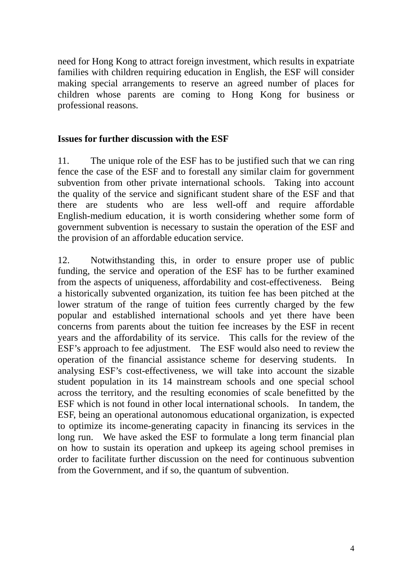need for Hong Kong to attract foreign investment, which results in expatriate families with children requiring education in English, the ESF will consider making special arrangements to reserve an agreed number of places for children whose parents are coming to Hong Kong for business or professional reasons.

#### **Issues for further discussion with the ESF**

11. The unique role of the ESF has to be justified such that we can ring fence the case of the ESF and to forestall any similar claim for government subvention from other private international schools. Taking into account the quality of the service and significant student share of the ESF and that there are students who are less well-off and require affordable English-medium education, it is worth considering whether some form of government subvention is necessary to sustain the operation of the ESF and the provision of an affordable education service.

12. Notwithstanding this, in order to ensure proper use of public funding, the service and operation of the ESF has to be further examined from the aspects of uniqueness, affordability and cost-effectiveness. Being a historically subvented organization, its tuition fee has been pitched at the lower stratum of the range of tuition fees currently charged by the few popular and established international schools and yet there have been concerns from parents about the tuition fee increases by the ESF in recent years and the affordability of its service. This calls for the review of the ESF's approach to fee adjustment. The ESF would also need to review the operation of the financial assistance scheme for deserving students. In analysing ESF's cost-effectiveness, we will take into account the sizable student population in its 14 mainstream schools and one special school across the territory, and the resulting economies of scale benefitted by the ESF which is not found in other local international schools. In tandem, the ESF, being an operational autonomous educational organization, is expected to optimize its income-generating capacity in financing its services in the long run. We have asked the ESF to formulate a long term financial plan on how to sustain its operation and upkeep its ageing school premises in order to facilitate further discussion on the need for continuous subvention from the Government, and if so, the quantum of subvention.